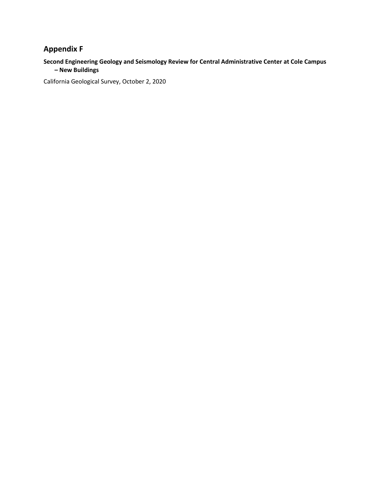# **Appendix F**

### **Second Engineering Geology and Seismology Review for Central Administrative Center at Cole Campus – New Buildings**

California Geological Survey, October 2, 2020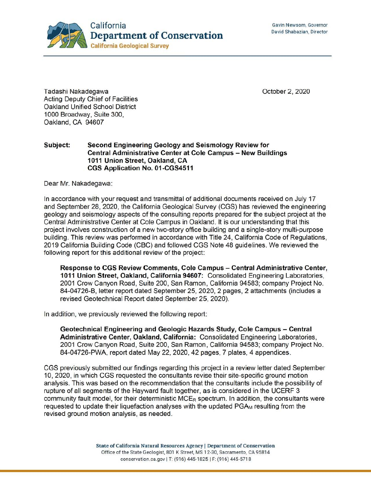

October 2, 2020

Tadashi Nakadegawa Acting Deputy Chief of Facilities Oakland Unified School District 1000 Broadway, Suite 300, Oakland, CA 94607

### **Subject: Second Engineering Geology and Seismology Review for Central Administrative Center at Cole Campus** - **New Buildings 1011 Union Street, Oakland, CA CGS Application No. 01-CGS4511**

Dear Mr. Nakadegawa:

In accordance with your request and transmittal of additional documents received on July 17 and September 28, 2020, the California Geological Survey (CGS) has reviewed the engineering geology and seismology aspects of the consulting reports prepared for the subject project at the Central Administrative Center at Cole Campus in Oakland. It is our understanding that this project involves construction of a new two-story office building and a single-story multi-purpose building. This review was performed in accordance with Title 24, California Code of Regulations, 2019 California Building Code (CBC) and followed CGS Note 48 guidelines. We reviewed the following report for this additional review of the project:

**Response to CGS Review Comments, Cole Campus – Central Administrative Center, 1011 Union Street, Oakland, California 94607:** Consolidated Engineering Laboratories, 2001 Crow Canyon Road, Suite 200, San Ramon, California 94583; company Project No. 84-04726-B, letter report dated September 25, 2020, 2 pages, 2 attachments (includes a revised Geotechnical Report dated September 25, 2020).

In addition, we previously reviewed the following report:

**Geotechnical Engineering and Geologic Hazards Study, Cole Campus - Central Administrative Center, Oakland, California:** Consolidated Engineering Laboratories, 2001 Crow Canyon Road, Suite 200, San Ramon , California 94583; company Project No. 84-04726-PWA, report dated May 22, 2020, 42 pages, 7 plates, 4 appendices.

CGS previously submitted our findings regarding this project in a review letter dated September 10, 2020, in which CGS requested the consultants revise their site-specific ground motion analysis. This was based on the recommendation that the consultants include the possibility of rupture of all segments of the Hayward fault together, as is considered in the UCERF 3 community fault model, for their deterministic  $MCE_R$  spectrum. In addition, the consultants were requested to update their liquefaction analyses with the updated PGA<sub>M</sub> resulting from the revised ground motion analysis, as needed.

> State of California Natural Resources Agency I Department of Conservation Office of the State Geologist, 801 K Street, MS 12-30, Sacramento, CA 95814 conservation.ca.gov I T: (916) 445-1825 I F: (916) 445-5718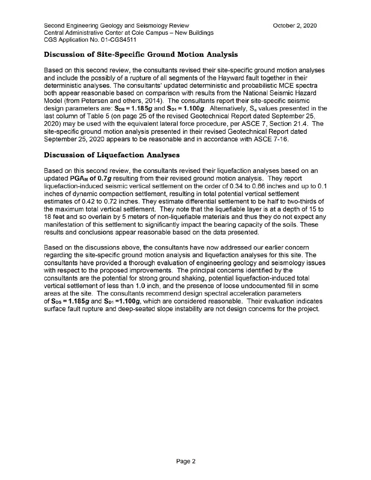# **Discussion of Site-Specific Ground Motion Analysis**

Based on this second review, the consultants revised their site-specific ground motion analyses and include the possibly of a rupture of all segments of the Hayward fault together in their deterministic analyses. The consultants' updated deterministic and probabilistic MCE spectra both appear reasonable based on comparison with results from the National Seismic Hazard Model (from Petersen and others, 2014 ). The consultants report their site-specific seismic design parameters are:  $S_{DS} = 1.185g$  and  $S_{D1} = 1.100g$ . Alternatively, S<sub>a</sub> values presented in the last column of Table 5 (on page 25 of the revised Geotechnical Report dated September 25, 2020) may be used with the equivalent lateral force procedure, per ASCE 7, Section 21.4. The site-specific ground motion analysis presented in their revised Geotechnical Report dated September 25, 2020 appears to be reasonable and in accordance with ASCE 7-16.

## **Discussion of Liquefaction Analyses**

Based on this second review, the consultants revised their liquefaction analyses based on an updated PGA<sub>M</sub> of 0.7g resulting from their revised ground motion analysis. They report liquefaction-induced seismic vertical settlement on the order of 0.34 to 0.66 inches and up to 0.1 inches of dynamic compaction settlement, resulting in total potential vertical settlement estimates of 0.42 to 0.72 inches. They estimate differential settlement to be half to two-thirds of the maximum total vertical settlement. They note that the liquefiable layer is at a depth of 15 to 18 feet and so overlain by 5 meters of non-liquefiable materials and thus they do not expect any manifestation of this settlement to significantly impact the bearing capacity of the soils. These results and conclusions appear reasonable based on the data presented.

Based on the discussions above, the consultants have now addressed our earlier concern regarding the site-specific ground motion analysis and liquefaction analyses for this site. The consultants have provided a thorough evaluation of engineering geology and seismology issues with respect to the proposed improvements. The principal concerns identified by the consultants are the potential for strong ground shaking, potential liquefaction-induced total vertical settlement of less than 1.0 inch, and the presence of loose undocumented fill in some areas at the site. The consultants recommend design spectral acceleration parameters of S<sub>ps</sub> = 1.185g and S<sub>p1</sub> = 1.100g, which are considered reasonable. Their evaluation indicates surface fault rupture and deep-seated slope instability are not design concerns for the project.